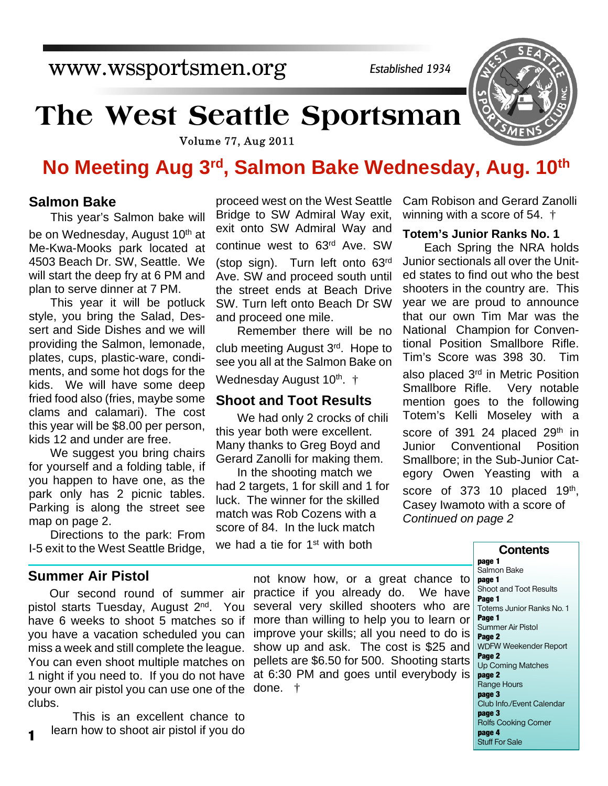## www.wssportsmen.org

*Established 1934*

# **The West Seattle Sportsman**

Volume 77, Aug 2011

### **No Meeting Aug 3rd, Salmon Bake Wednesday, Aug. 10th**

#### **Salmon Bake**

This year's Salmon bake will be on Wednesday, August 10<sup>th</sup> at Me-Kwa-Mooks park located at 4503 Beach Dr. SW, Seattle. We will start the deep fry at 6 PM and plan to serve dinner at 7 PM.

This year it will be potluck style, you bring the Salad, Dessert and Side Dishes and we will providing the Salmon, lemonade, plates, cups, plastic-ware, condiments, and some hot dogs for the kids. We will have some deep fried food also (fries, maybe some clams and calamari). The cost this year will be \$8.00 per person, kids 12 and under are free.

We suggest you bring chairs for yourself and a folding table, if you happen to have one, as the park only has 2 picnic tables. Parking is along the street see map on page 2.

Directions to the park: From I-5 exit to the West Seattle Bridge,

#### **Summer Air Pistol**

**1**

Our second round of summer air pistol starts Tuesday, August 2nd. You have 6 weeks to shoot 5 matches so if you have a vacation scheduled you can miss a week and still complete the league. You can even shoot multiple matches on 1 night if you need to. If you do not have your own air pistol you can use one of the clubs.

This is an excellent chance to learn how to shoot air pistol if you do

proceed west on the West Seattle Bridge to SW Admiral Way exit, exit onto SW Admiral Way and continue west to 63rd Ave. SW (stop sign). Turn left onto 63rd Ave. SW and proceed south until the street ends at Beach Drive SW. Turn left onto Beach Dr SW and proceed one mile.

Remember there will be no club meeting August 3rd. Hope to see you all at the Salmon Bake on Wednesday August 10<sup>th</sup>. <sup>†</sup>

#### **Shoot and Toot Results**

We had only 2 crocks of chili this year both were excellent. Many thanks to Greg Boyd and Gerard Zanolli for making them.

In the shooting match we had 2 targets, 1 for skill and 1 for luck. The winner for the skilled match was Rob Cozens with a score of 84. In the luck match we had a tie for 1<sup>st</sup> with both

Cam Robison and Gerard Zanolli winning with a score of 54. †

#### **Totem's Junior Ranks No. 1**

Each Spring the NRA holds Junior sectionals all over the United states to find out who the best shooters in the country are. This year we are proud to announce that our own Tim Mar was the National Champion for Conventional Position Smallbore Rifle. Tim's Score was 398 30. Tim also placed 3<sup>rd</sup> in Metric Position Smallbore Rifle. Very notable mention goes to the following Totem's Kelli Moseley with a score of 391 24 placed  $29<sup>th</sup>$  in Junior Conventional Position Smallbore; in the Sub-Junior Category Owen Yeasting with a score of 373 10 placed 19<sup>th</sup>, Casey Iwamoto with a score of *Continued on page 2*

not know how, or a great chance to practice if you already do. We have several very skilled shooters who are more than willing to help you to learn or improve your skills; all you need to do is show up and ask. The cost is \$25 and pellets are \$6.50 for 500. Shooting starts at 6:30 PM and goes until everybody is done. †

#### **Contents page 1**

Salmon Bake

**page 1** Shoot and Toot Results **Page 1** Totems Junior Ranks No. 1 **Page 1** Summer Air Pistol **Page 2** WDFW Weekender Report **Page 2** Up Coming Matches **page 2** Range Hours **page 3** Club Info./Event Calendar **page 3** Rolfs Cooking Corner **page 4** Stuff For Sale

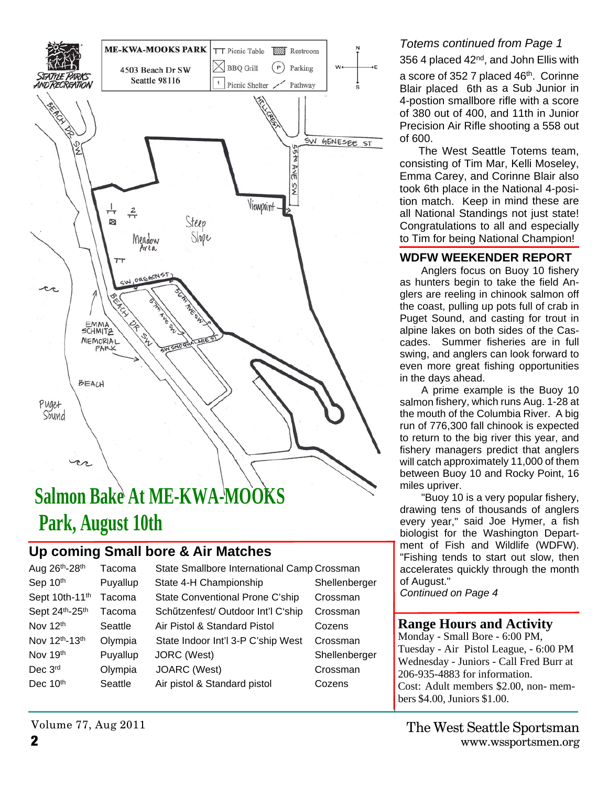

# **Salmon Bake At ME-KWA-MOOKS Park, August 10th**

### **Up coming Small bore & Air Matches**

| Aug 26th-28th        | Tacoma   |
|----------------------|----------|
| Sep 10th             | Puyallup |
| Sept 10th-11th       | Tacoma   |
| Sept 24th-25th       | Tacoma   |
| Nov 12 <sup>th</sup> | Seattle  |
| Nov 12th-13th        | Olympia  |
| Nov 19th             | Puyallup |
| Dec 3rd              | Olympia  |
| Dec 10 <sup>th</sup> | Seattle  |
|                      |          |

State Smallbore International Camp Crossman State 4-H Championship Shellenberger State Conventional Prone C'ship Crossman Schützenfest/ Outdoor Int'l C'ship Crossman Air Pistol & Standard Pistol Cozens State Indoor Int'l 3-P C'ship West Crossman JORC (West) Shellenberger JOARC (West) Crossman Air pistol & Standard pistol Cozens

#### *Totems continued from Page 1*

#### 356 4 placed 42nd, and John Ellis with

a score of 352 7 placed 46<sup>th</sup>. Corinne Blair placed 6th as a Sub Junior in 4-postion smallbore rifle with a score of 380 out of 400, and 11th in Junior Precision Air Rifle shooting a 558 out of 600.

 The West Seattle Totems team, consisting of Tim Mar, Kelli Moseley, Emma Carey, and Corinne Blair also took 6th place in the National 4-position match. Keep in mind these are all National Standings not just state! Congratulations to all and especially to Tim for being National Champion!

#### **WDFW WEEKENDER REPORT**

Anglers focus on Buoy 10 fishery as hunters begin to take the field Anglers are reeling in chinook salmon off the coast, pulling up pots full of crab in Puget Sound, and casting for trout in alpine lakes on both sides of the Cascades. Summer fisheries are in full swing, and anglers can look forward to even more great fishing opportunities in the days ahead.

A prime example is the Buoy 10 salmon fishery, which runs Aug. 1-28 at the mouth of the Columbia River. A big run of 776,300 fall chinook is expected to return to the big river this year, and fishery managers predict that anglers will catch approximately 11,000 of them between Buoy 10 and Rocky Point, 16 miles upriver.

"Buoy 10 is a very popular fishery, drawing tens of thousands of anglers every year," said Joe Hymer, a fish biologist for the Washington Department of Fish and Wildlife (WDFW). "Fishing tends to start out slow, then accelerates quickly through the month of August."

*Continued on Page 4*

#### **Range Hours and Activity**

Monday - Small Bore - 6:00 PM, Tuesday - Air Pistol League, - 6:00 PM Wednesday - Juniors - Call Fred Burr at 206-935-4883 for information. Cost: Adult members \$2.00, non- members \$4.00, Juniors \$1.00.

Volume 77, Aug 2011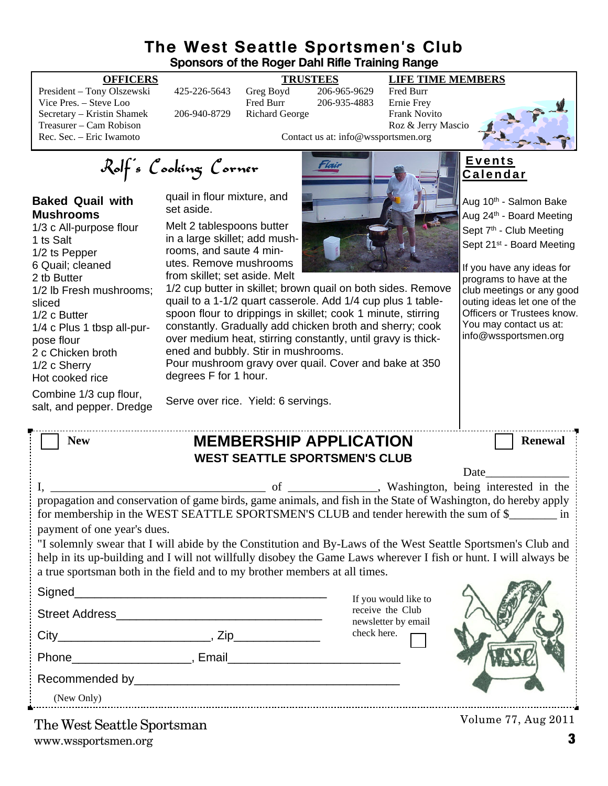#### **The West Seattle Sportsmen's Club Sponsors of the Roger Dahl Rifle Training Range**

quail to a 1-1/2 quart casserole. Add 1/4 cup plus 1 tablespoon flour to drippings in skillet; cook 1 minute, stirring constantly. Gradually add chicken broth and sherry; cook over medium heat, stirring constantly, until gravy is thick-

Pour mushroom gravy over quail. Cover and bake at 350

President – Tony Olszewski 425-226-5643 Greg Boyd 206-965-9629 Fred Burr Vice Pres. – Steve Loo Fred Burr 206-935-4883 Ernie Frey Secretary – Kristin Shamek 206-940-8729 Richard George Frank Novito Treasurer – Cam Robison Roz & Jerry Mascio<br>
Rec. Sec. – Eric Iwamoto Roz & Jerry Mascio<br>
Contact us at: info@wssportsmen.org

#### **OFFICERS TRUSTEES LIFE TIME MEMBERS**



Contact us at: info@wssportsmen.org

Rolf's Cooking Corner

#### **Baked Quail with Mushrooms**

1/3 c All-purpose flour 1 ts Salt 1/2 ts Pepper 6 Quail; cleaned 2 tb Butter 1/2 lb Fresh mushrooms; sliced 1/2 c Butter 1/4 c Plus 1 tbsp all-purpose flour 2 c Chicken broth 1/2 c Sherry Hot cooked rice

Combine 1/3 cup flour,

quail in flour mixture, and set aside.

Melt 2 tablespoons butter in a large skillet; add mushrooms, and saute 4 minutes. Remove mushrooms from skillet; set aside. Melt 1/2 cup butter in skillet; brown quail on both sides. Remove

degrees F for 1 hour.



#### **E v e n t s C a l e n d a r**

Aug 10<sup>th</sup> - Salmon Bake Aug 24<sup>th</sup> - Board Meeting Sept 7<sup>th</sup> - Club Meeting Sept 21<sup>st</sup> - Board Meeting

If you have any ideas for programs to have at the club meetings or any good outing ideas let one of the Officers or Trustees know. You may contact us at: info@wssportsmen.org

salt, and pepper. Dredge

| <b>New</b> | <b>MEMBERSHIP APPLICATION</b>        | <b>Renewal</b> |
|------------|--------------------------------------|----------------|
|            | <b>WEST SEATTLE SPORTSMEN'S CLUB</b> |                |

Serve over rice. Yield: 6 servings.

ened and bubbly. Stir in mushrooms.

|                                                                                                                                |  |                                                                                                                | Date |  |  |
|--------------------------------------------------------------------------------------------------------------------------------|--|----------------------------------------------------------------------------------------------------------------|------|--|--|
|                                                                                                                                |  | of Washington, being interested in the                                                                         |      |  |  |
|                                                                                                                                |  | propagation and conservation of game birds, game animals, and fish in the State of Washington, do hereby apply |      |  |  |
| for membership in the WEST SEATTLE SPORTSMEN'S CLUB and tender herewith the sum of \$_________ in                              |  |                                                                                                                |      |  |  |
| payment of one year's dues.                                                                                                    |  |                                                                                                                |      |  |  |
| "I solemnly swear that I will abide by the Constitution and By-Laws of the West Seattle Sportsmen's Club and                   |  |                                                                                                                |      |  |  |
| help in its up-building and I will not willfully disobey the Game Laws wherever I fish or hunt. I will always be               |  |                                                                                                                |      |  |  |
| a true sportsman both in the field and to my brother members at all times.                                                     |  |                                                                                                                |      |  |  |
| Signed_                                                                                                                        |  | If you would like to                                                                                           |      |  |  |
| <b>Street Address</b>                                                                                                          |  | receive the Club                                                                                               |      |  |  |
|                                                                                                                                |  | newsletter by email<br>check here.                                                                             |      |  |  |
| City<br>$\overline{\phantom{a}}$ , Zip $\overline{\phantom{a}}$ , Zip $\overline{\phantom{a}}$                                 |  |                                                                                                                |      |  |  |
| Phone<br><u>and the contract of the second second</u> second second second second second second second second second second se |  |                                                                                                                |      |  |  |

Recommended by\_\_\_\_\_\_\_\_\_\_\_\_\_\_\_\_\_\_\_\_\_\_\_\_\_\_\_\_\_\_\_\_\_\_\_\_\_\_\_\_

(New Only)

www.wssportsmen.org **3** The West Seattle Sportsman

Volume 77, Aug 2011